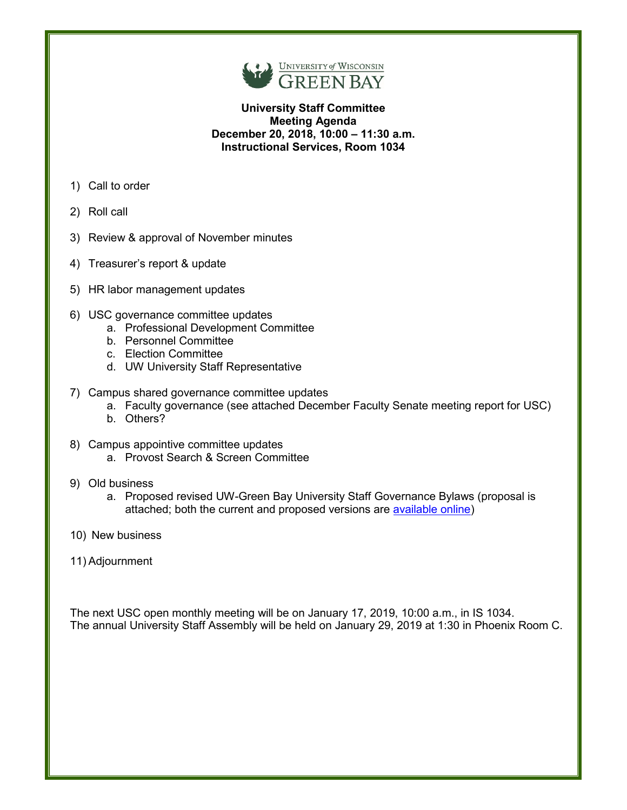

### **University Staff Committee Meeting Agenda December 20, 2018, 10:00 – 11:30 a.m. Instructional Services, Room 1034**

- 1) Call to order
- 2) Roll call
- 3) Review & approval of November minutes
- 4) Treasurer's report & update
- 5) HR labor management updates
- 6) USC governance committee updates
	- a. Professional Development Committee
	- b. Personnel Committee
	- c. Election Committee
	- d. UW University Staff Representative
- 7) Campus shared governance committee updates
	- a. Faculty governance (see attached December Faculty Senate meeting report for USC)
	- b. Others?
- 8) Campus appointive committee updates
	- a. Provost Search & Screen Committee
- 9) Old business
	- a. Proposed revised UW-Green Bay University Staff Governance Bylaws (proposal is attached; both the current and proposed versions are [available online\)](https://www.uwgb.edu/university-staff-governance/bylaws/)
- 10) New business
- 11) Adjournment

The next USC open monthly meeting will be on January 17, 2019, 10:00 a.m., in IS 1034. The annual University Staff Assembly will be held on January 29, 2019 at 1:30 in Phoenix Room C.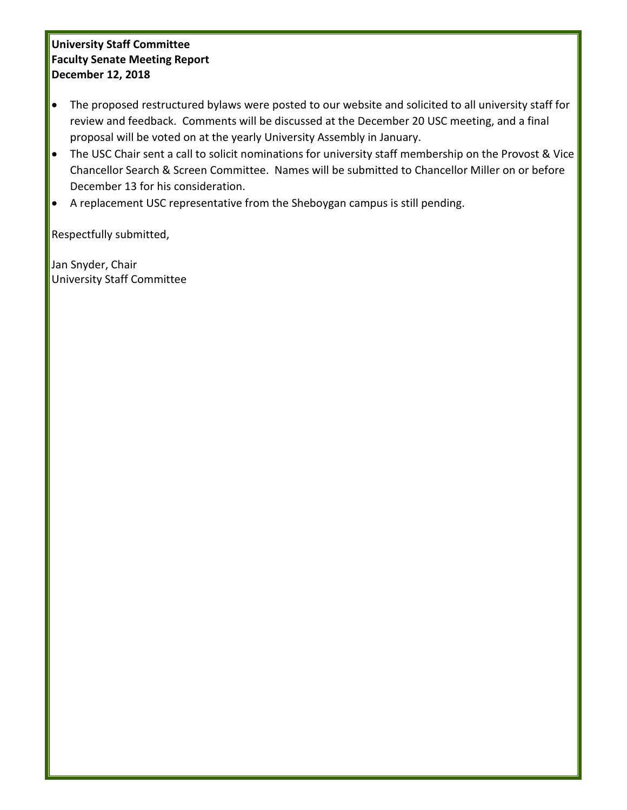# **University Staff Committee Faculty Senate Meeting Report December 12, 2018**

- The proposed restructured bylaws were posted to our website and solicited to all university staff for review and feedback. Comments will be discussed at the December 20 USC meeting, and a final proposal will be voted on at the yearly University Assembly in January.
- The USC Chair sent a call to solicit nominations for university staff membership on the Provost & Vice Chancellor Search & Screen Committee. Names will be submitted to Chancellor Miller on or before December 13 for his consideration.
- A replacement USC representative from the Sheboygan campus is still pending.

Respectfully submitted,

Jan Snyder, Chair University Staff Committee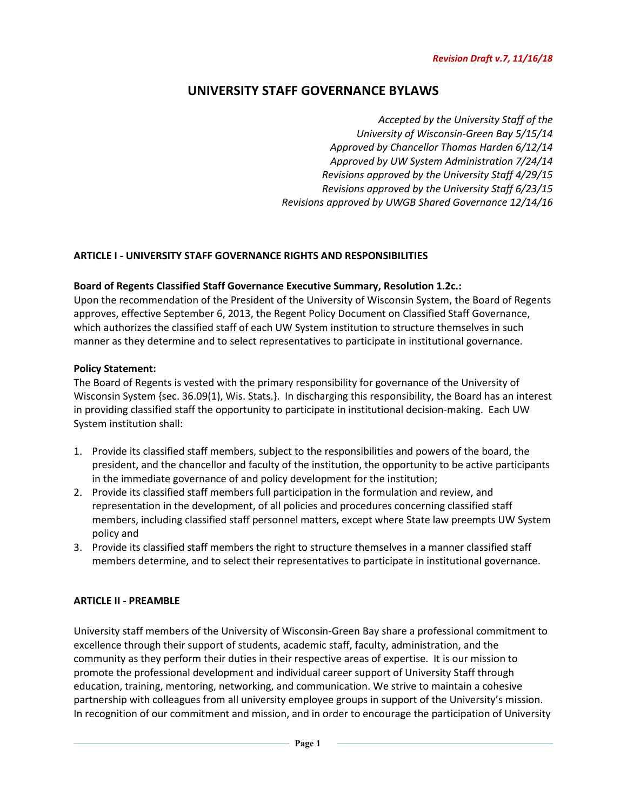# **UNIVERSITY STAFF GOVERNANCE BYLAWS**

*Accepted by the University Staff of the University of Wisconsin-Green Bay 5/15/14 Approved by Chancellor Thomas Harden 6/12/14 Approved by UW System Administration 7/24/14 Revisions approved by the University Staff 4/29/15 Revisions approved by the University Staff 6/23/15 Revisions approved by UWGB Shared Governance 12/14/16*

### **ARTICLE I - UNIVERSITY STAFF GOVERNANCE RIGHTS AND RESPONSIBILITIES**

### **Board of Regents Classified Staff Governance Executive Summary, Resolution 1.2c.:**

Upon the recommendation of the President of the University of Wisconsin System, the Board of Regents approves, effective September 6, 2013, the Regent Policy Document on Classified Staff Governance, which authorizes the classified staff of each UW System institution to structure themselves in such manner as they determine and to select representatives to participate in institutional governance.

#### **Policy Statement:**

The Board of Regents is vested with the primary responsibility for governance of the University of Wisconsin System {sec. 36.09(1), Wis. Stats.}. In discharging this responsibility, the Board has an interest in providing classified staff the opportunity to participate in institutional decision-making. Each UW System institution shall:

- 1. Provide its classified staff members, subject to the responsibilities and powers of the board, the president, and the chancellor and faculty of the institution, the opportunity to be active participants in the immediate governance of and policy development for the institution;
- 2. Provide its classified staff members full participation in the formulation and review, and representation in the development, of all policies and procedures concerning classified staff members, including classified staff personnel matters, except where State law preempts UW System policy and
- 3. Provide its classified staff members the right to structure themselves in a manner classified staff members determine, and to select their representatives to participate in institutional governance.

### **ARTICLE II - PREAMBLE**

University staff members of the University of Wisconsin-Green Bay share a professional commitment to excellence through their support of students, academic staff, faculty, administration, and the community as they perform their duties in their respective areas of expertise. It is our mission to promote the professional development and individual career support of University Staff through education, training, mentoring, networking, and communication. We strive to maintain a cohesive partnership with colleagues from all university employee groups in support of the University's mission. In recognition of our commitment and mission, and in order to encourage the participation of University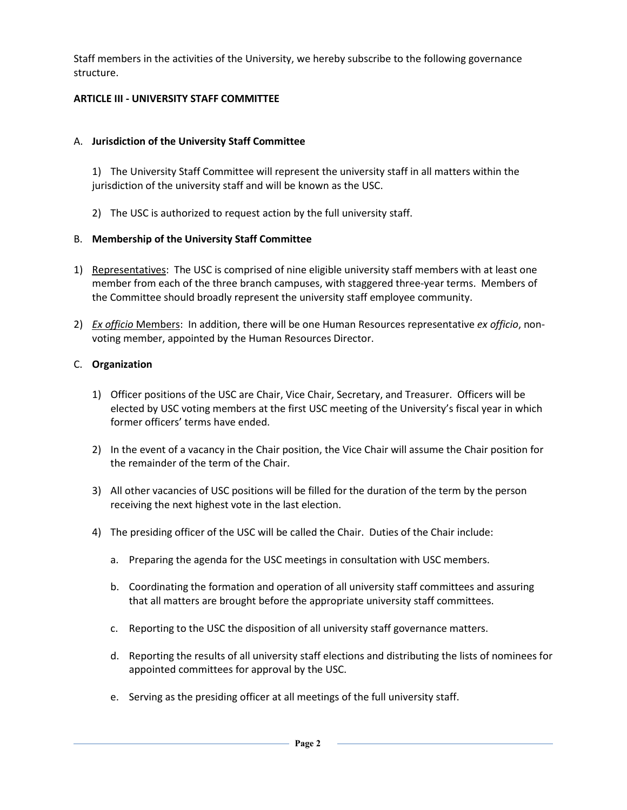Staff members in the activities of the University, we hereby subscribe to the following governance structure.

### **ARTICLE III - UNIVERSITY STAFF COMMITTEE**

### A. **Jurisdiction of the University Staff Committee**

1) The University Staff Committee will represent the university staff in all matters within the jurisdiction of the university staff and will be known as the USC.

2) The USC is authorized to request action by the full university staff.

### B. **Membership of the University Staff Committee**

- 1) Representatives: The USC is comprised of nine eligible university staff members with at least one member from each of the three branch campuses, with staggered three-year terms. Members of the Committee should broadly represent the university staff employee community.
- 2) *Ex officio* Members: In addition, there will be one Human Resources representative *ex officio*, nonvoting member, appointed by the Human Resources Director.

### C. **Organization**

- 1) Officer positions of the USC are Chair, Vice Chair, Secretary, and Treasurer. Officers will be elected by USC voting members at the first USC meeting of the University's fiscal year in which former officers' terms have ended.
- 2) In the event of a vacancy in the Chair position, the Vice Chair will assume the Chair position for the remainder of the term of the Chair.
- 3) All other vacancies of USC positions will be filled for the duration of the term by the person receiving the next highest vote in the last election.
- 4) The presiding officer of the USC will be called the Chair. Duties of the Chair include:
	- a. Preparing the agenda for the USC meetings in consultation with USC members.
	- b. Coordinating the formation and operation of all university staff committees and assuring that all matters are brought before the appropriate university staff committees.
	- c. Reporting to the USC the disposition of all university staff governance matters.
	- d. Reporting the results of all university staff elections and distributing the lists of nominees for appointed committees for approval by the USC.
	- e. Serving as the presiding officer at all meetings of the full university staff.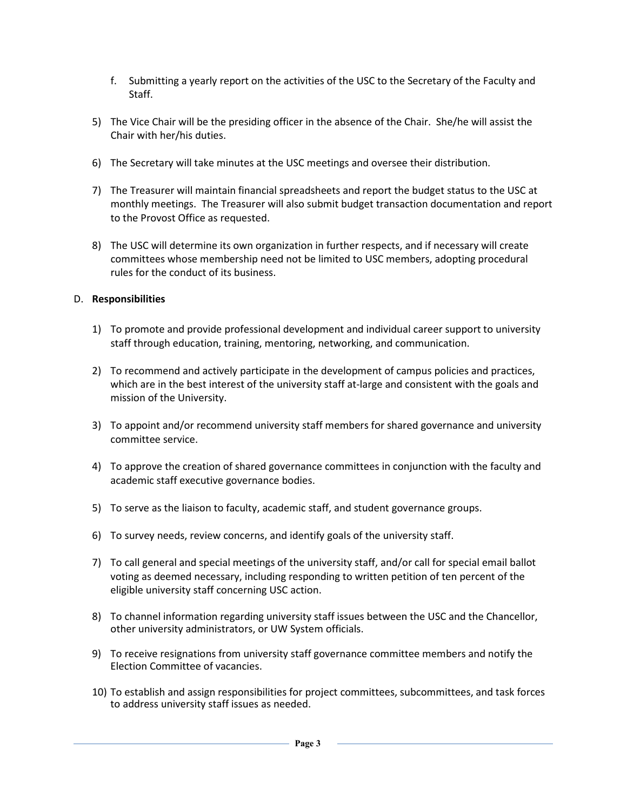- f. Submitting a yearly report on the activities of the USC to the Secretary of the Faculty and Staff.
- 5) The Vice Chair will be the presiding officer in the absence of the Chair. She/he will assist the Chair with her/his duties.
- 6) The Secretary will take minutes at the USC meetings and oversee their distribution.
- 7) The Treasurer will maintain financial spreadsheets and report the budget status to the USC at monthly meetings. The Treasurer will also submit budget transaction documentation and report to the Provost Office as requested.
- 8) The USC will determine its own organization in further respects, and if necessary will create committees whose membership need not be limited to USC members, adopting procedural rules for the conduct of its business.

#### D. **Responsibilities**

- 1) To promote and provide professional development and individual career support to university staff through education, training, mentoring, networking, and communication.
- 2) To recommend and actively participate in the development of campus policies and practices, which are in the best interest of the university staff at-large and consistent with the goals and mission of the University.
- 3) To appoint and/or recommend university staff members for shared governance and university committee service.
- 4) To approve the creation of shared governance committees in conjunction with the faculty and academic staff executive governance bodies.
- 5) To serve as the liaison to faculty, academic staff, and student governance groups.
- 6) To survey needs, review concerns, and identify goals of the university staff.
- 7) To call general and special meetings of the university staff, and/or call for special email ballot voting as deemed necessary, including responding to written petition of ten percent of the eligible university staff concerning USC action.
- 8) To channel information regarding university staff issues between the USC and the Chancellor, other university administrators, or UW System officials.
- 9) To receive resignations from university staff governance committee members and notify the Election Committee of vacancies.
- 10) To establish and assign responsibilities for project committees, subcommittees, and task forces to address university staff issues as needed.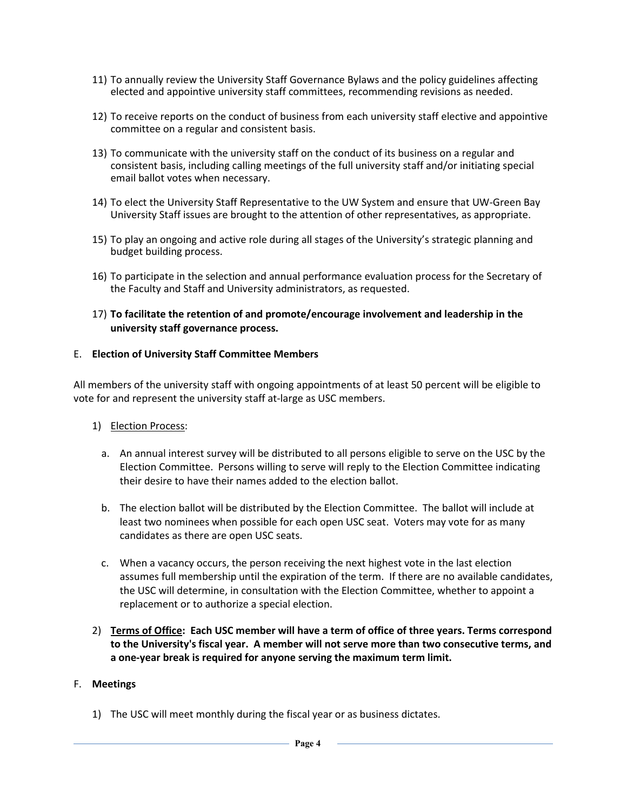- 11) To annually review the University Staff Governance Bylaws and the policy guidelines affecting elected and appointive university staff committees, recommending revisions as needed.
- 12) To receive reports on the conduct of business from each university staff elective and appointive committee on a regular and consistent basis.
- 13) To communicate with the university staff on the conduct of its business on a regular and consistent basis, including calling meetings of the full university staff and/or initiating special email ballot votes when necessary.
- 14) To elect the University Staff Representative to the UW System and ensure that UW-Green Bay University Staff issues are brought to the attention of other representatives, as appropriate.
- 15) To play an ongoing and active role during all stages of the University's strategic planning and budget building process.
- 16) To participate in the selection and annual performance evaluation process for the Secretary of the Faculty and Staff and University administrators, as requested.
- 17) **To facilitate the retention of and promote/encourage involvement and leadership in the university staff governance process.**

#### E. **Election of University Staff Committee Members**

All members of the university staff with ongoing appointments of at least 50 percent will be eligible to vote for and represent the university staff at-large as USC members.

- 1) Election Process:
	- a. An annual interest survey will be distributed to all persons eligible to serve on the USC by the Election Committee. Persons willing to serve will reply to the Election Committee indicating their desire to have their names added to the election ballot.
	- b. The election ballot will be distributed by the Election Committee. The ballot will include at least two nominees when possible for each open USC seat. Voters may vote for as many candidates as there are open USC seats.
	- c. When a vacancy occurs, the person receiving the next highest vote in the last election assumes full membership until the expiration of the term. If there are no available candidates, the USC will determine, in consultation with the Election Committee, whether to appoint a replacement or to authorize a special election.
- 2) **Terms of Office: Each USC member will have a term of office of three years. Terms correspond to the University's fiscal year. A member will not serve more than two consecutive terms, and a one-year break is required for anyone serving the maximum term limit.**

#### F. **Meetings**

1) The USC will meet monthly during the fiscal year or as business dictates.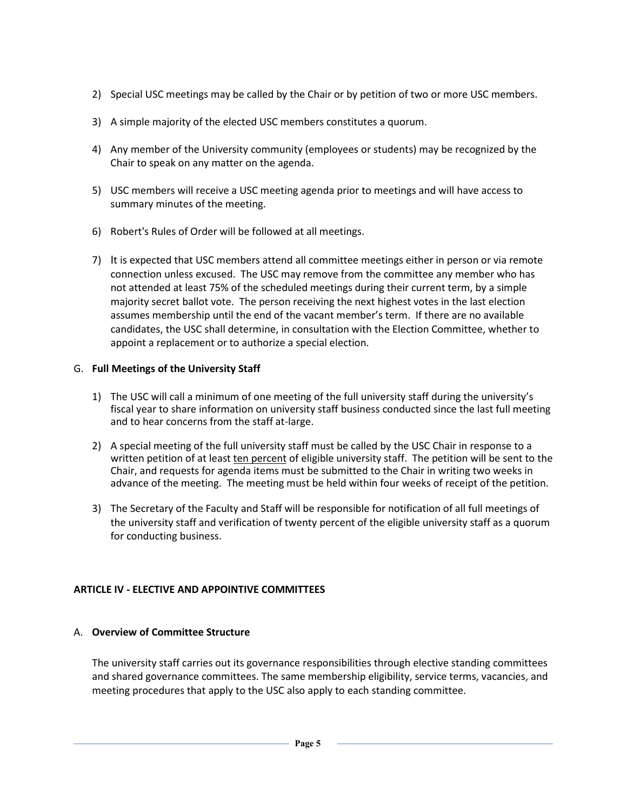- 2) Special USC meetings may be called by the Chair or by petition of two or more USC members.
- 3) A simple majority of the elected USC members constitutes a quorum.
- 4) Any member of the University community (employees or students) may be recognized by the Chair to speak on any matter on the agenda.
- 5) USC members will receive a USC meeting agenda prior to meetings and will have access to summary minutes of the meeting.
- 6) Robert's Rules of Order will be followed at all meetings.
- 7) It is expected that USC members attend all committee meetings either in person or via remote connection unless excused. The USC may remove from the committee any member who has not attended at least 75% of the scheduled meetings during their current term, by a simple majority secret ballot vote. The person receiving the next highest votes in the last election assumes membership until the end of the vacant member's term. If there are no available candidates, the USC shall determine, in consultation with the Election Committee, whether to appoint a replacement or to authorize a special election.

### G. **Full Meetings of the University Staff**

- 1) The USC will call a minimum of one meeting of the full university staff during the university's fiscal year to share information on university staff business conducted since the last full meeting and to hear concerns from the staff at-large.
- 2) A special meeting of the full university staff must be called by the USC Chair in response to a written petition of at least ten percent of eligible university staff. The petition will be sent to the Chair, and requests for agenda items must be submitted to the Chair in writing two weeks in advance of the meeting. The meeting must be held within four weeks of receipt of the petition.
- 3) The Secretary of the Faculty and Staff will be responsible for notification of all full meetings of the university staff and verification of twenty percent of the eligible university staff as a quorum for conducting business.

# **ARTICLE IV - ELECTIVE AND APPOINTIVE COMMITTEES**

### A. **Overview of Committee Structure**

The university staff carries out its governance responsibilities through elective standing committees and shared governance committees. The same membership eligibility, service terms, vacancies, and meeting procedures that apply to the USC also apply to each standing committee.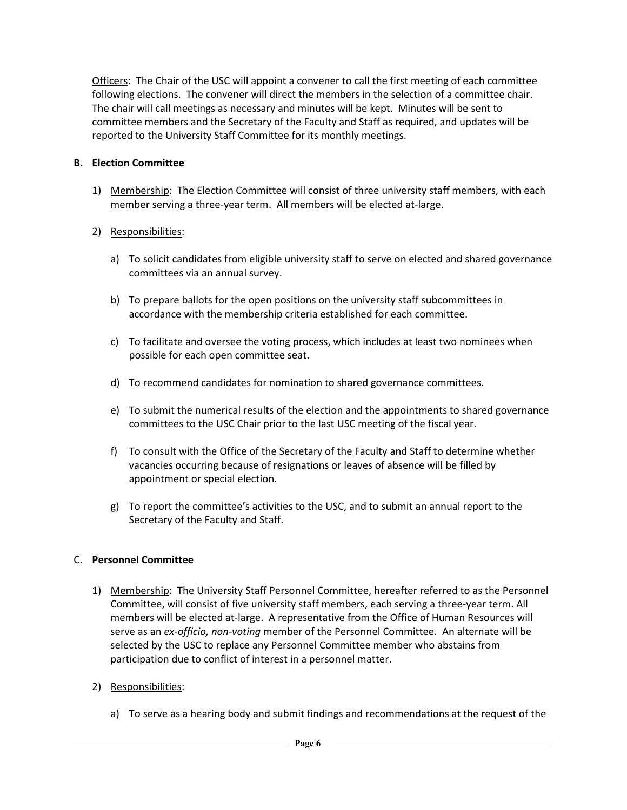Officers: The Chair of the USC will appoint a convener to call the first meeting of each committee following elections. The convener will direct the members in the selection of a committee chair. The chair will call meetings as necessary and minutes will be kept. Minutes will be sent to committee members and the Secretary of the Faculty and Staff as required, and updates will be reported to the University Staff Committee for its monthly meetings.

# **B. Election Committee**

1) Membership: The Election Committee will consist of three university staff members, with each member serving a three-year term. All members will be elected at-large.

# 2) Responsibilities:

- a) To solicit candidates from eligible university staff to serve on elected and shared governance committees via an annual survey.
- b) To prepare ballots for the open positions on the university staff subcommittees in accordance with the membership criteria established for each committee.
- c) To facilitate and oversee the voting process, which includes at least two nominees when possible for each open committee seat.
- d) To recommend candidates for nomination to shared governance committees.
- e) To submit the numerical results of the election and the appointments to shared governance committees to the USC Chair prior to the last USC meeting of the fiscal year.
- f) To consult with the Office of the Secretary of the Faculty and Staff to determine whether vacancies occurring because of resignations or leaves of absence will be filled by appointment or special election.
- g) To report the committee's activities to the USC, and to submit an annual report to the Secretary of the Faculty and Staff.

### C. **Personnel Committee**

1) Membership: The University Staff Personnel Committee, hereafter referred to as the Personnel Committee, will consist of five university staff members, each serving a three-year term. All members will be elected at-large. A representative from the Office of Human Resources will serve as an *ex-officio, non-voting* member of the Personnel Committee. An alternate will be selected by the USC to replace any Personnel Committee member who abstains from participation due to conflict of interest in a personnel matter.

# 2) Responsibilities:

a) To serve as a hearing body and submit findings and recommendations at the request of the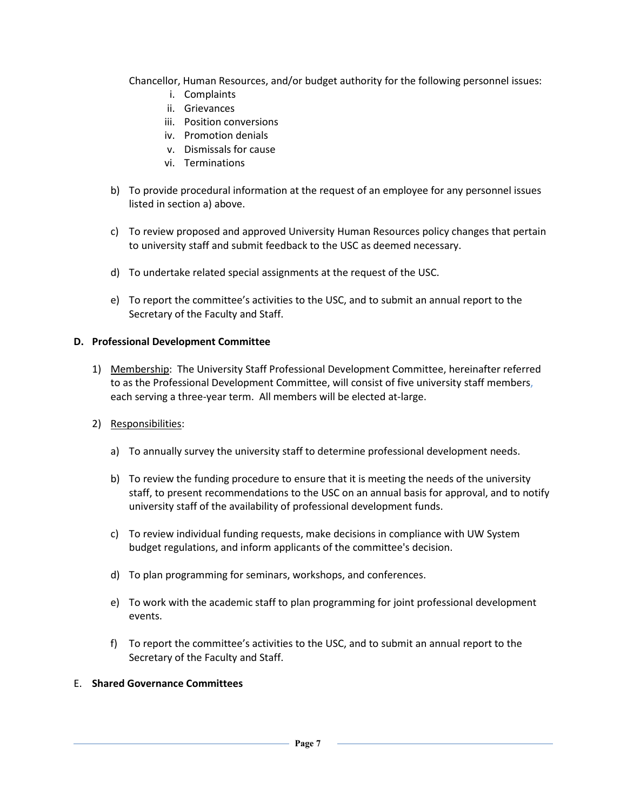Chancellor, Human Resources, and/or budget authority for the following personnel issues:

- i. Complaints
- ii. Grievances
- iii. Position conversions
- iv. Promotion denials
- v. Dismissals for cause
- vi. Terminations
- b) To provide procedural information at the request of an employee for any personnel issues listed in section a) above.
- c) To review proposed and approved University Human Resources policy changes that pertain to university staff and submit feedback to the USC as deemed necessary.
- d) To undertake related special assignments at the request of the USC.
- e) To report the committee's activities to the USC, and to submit an annual report to the Secretary of the Faculty and Staff.

#### **D. Professional Development Committee**

- 1) Membership: The University Staff Professional Development Committee, hereinafter referred to as the Professional Development Committee, will consist of five university staff members, each serving a three-year term. All members will be elected at-large.
- 2) Responsibilities:
	- a) To annually survey the university staff to determine professional development needs.
	- b) To review the funding procedure to ensure that it is meeting the needs of the university staff, to present recommendations to the USC on an annual basis for approval, and to notify university staff of the availability of professional development funds.
	- c) To review individual funding requests, make decisions in compliance with UW System budget regulations, and inform applicants of the committee's decision.
	- d) To plan programming for seminars, workshops, and conferences.
	- e) To work with the academic staff to plan programming for joint professional development events.
	- f) To report the committee's activities to the USC, and to submit an annual report to the Secretary of the Faculty and Staff.

#### E. **Shared Governance Committees**